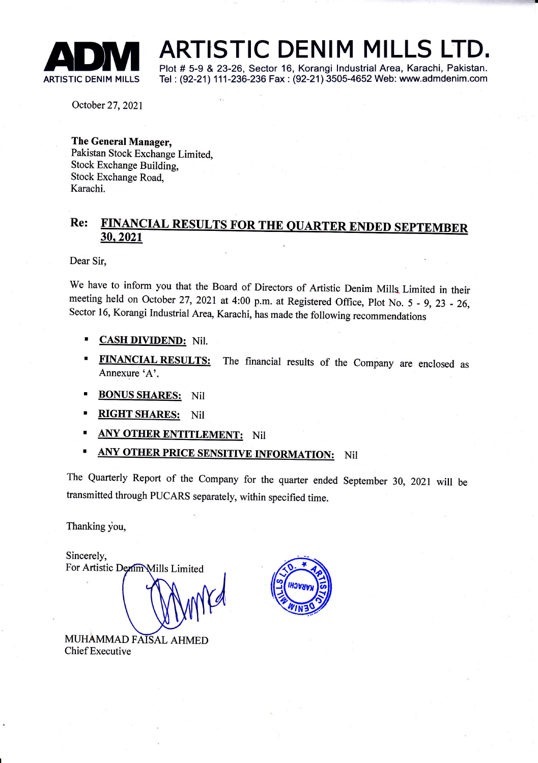

ADM ARTISTIC DENIM MILLS LTD.<br>ARTISTIC DENIM MILLS Tel : (92-21) 111-236-236 Fax : (92-21) 3505-4652 Web: www.admdenim.com

Tel: (92-21) 111-236-236 Fax: (92-21) 3505-4652 Web: www.admdenim.com

October 27,2021

The General Manager, Pakistan Stock Exchange Limited, Stock Exchange Building, Stock Exchange Road, Karachi.

## Re: FINANCIAL RESULTS FOR THE QUARTER ENDED SEPTEMBER<br>30, 2021

Dear Sir,

We have to inform you that the Board of Directors of Artistic Denim Mills Limited in their meeting held on October 27, 2021 at 4:00 p.m. at Registered Office, Plot No. 5 - 9, 23 - 26, Sector 16, Korangi Industrial Area, Karachi, has made the following recommendations

- CASH DIVIDEND: Nil.
- FINANCIAL RESULTS: The financial results of the Company are enclosed as Annexure'A'.
- **BONUS SHARES:** Nil
- **RIGHT SHARES:** Nil
- **ANY OTHER ENTITLEMENT:** Nil
- **ANY OTHER PRICE SENSITIVE INFORMATION:** Nil

The Quarterly Report of the Company for the quarter ended September 30, 2021 will be transmitted through PUCARS separately, within specified time.

Thanking you,

Sincerely, For Artistic Denim Mills Limited

MUHAMMAD FAISAL AHMED Chief Executive